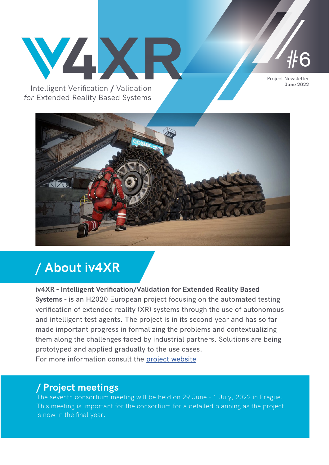

*for* Extended Reality Based Systems



# **/ About iv4XR**

#### **iv4XR - Intelligent Verification/Validation for Extended Reality Based**

**Systems** - is an H2020 European project focusing on the automated testing verification of extended reality (XR) systems through the use of autonomous and intelligent test agents. The project is in its second year and has so far made important progress in formalizing the problems and contextualizing them along the challenges faced by industrial partners. Solutions are being prototyped and applied gradually to the use cases. For more information consult the [project website](https://iv4xr-project.eu/)

# **/ Project meetings**

The seventh consortium meeting will be held on 29 June - 1 July, 2022 in Prague. This meeting is important for the consortium for a detailed planning as the project is now in the final year.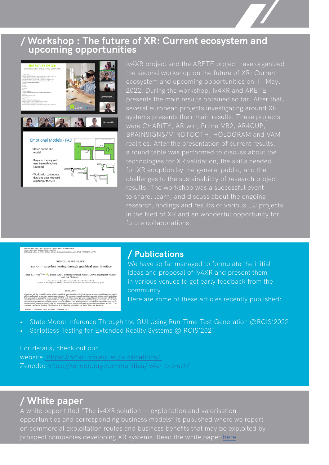# **/ Workshop : The future of XR: Current ecosystem and upcoming opportunities**



iv4XR project and the ARETE project have organized ecosystem and upcoming opportunities on 11 May, 2022. During the workshop, iv4XR and ARETE presents the main results obtained so far. After that, several european projects investigating around XR were CHARITY, ARtwin, Prime-VR2, AR4CUP, BRAINSIGNS/MINDTOOTH, HOLOGRAM and VAM realities. After the presentation of current results, a round table was performed to discuss about the technologies for XR validation, the skills needed for XR adoption by the general public, and the challenges to the sustainability of research project results. The workshop was a successful event to share, learn, and discuss about the ongoing research, findings and results of various EU projects in the filed of XR and an wonderful opportunity for future collaborations.

SOFTWARE TESTING, VERIFICATION AND RELLABILITY<br>Sighs: Test. Forif. Reliab. 2021;31:41771<br>Published online in Wiley Online Library (wileyonlinelibrary.com ...<br>et. DOE: 10.1002/ww.1771 SPECIAL ISSUE PAPER

TESTAR - scriptless testing through graphical user interface Tanja E. J. Vos<sup>1,2,4,†</sup>  $\bullet$ , Pekka Aho<sup>1</sup>, Fernando Pastor Ricos<sup>2</sup>, Olivia Rodríguez-Valdes<sup>1</sup> and Ad Mulders<sup>1</sup> .<br>1844 Faculteit, Open Universiteit, Heerlen, The Netherlands<br>26 de Jeventigación PROS, Universidad Politécnica de Falencia, Salencia, Sp

CURRANT hical user interfi<br>ues. We propos<br>tutt tool. This p complementing scripted<br>er gives a comprehensis<br>research. With this paper<br>esting-related research a

# **/ Publications**

We have so far managed to formulate the initial ideas and proposal of iv4XR and present them in various venues to get early feedback from the community.

Here are some of these articles recently published:

- State Model Inference Through the GUI Using Run-Time Test Generation @RCIS'2022
- Scriptless Testing for Extended Reality Systems @ RCIS'2021

For details, check out our:

website: [https://iv4xr-project.eu/publications/]( https://iv4xr-project.eu/publications/  )  Zenodo: [https://zenodo.org/communities/iv4xr-project/](https://zenodo.org/communities/iv4xr-project/ ) 

# **/ White paper**

A white paper titled "The iv4XR solution — exploitation and valorisation opportunities and corresponding business models" is published where we report on commercial exploitation routes and business benefits that may be exploited by prospect companies developing XR systems. Read the white paper [here](https://medium.com/@marta.couto_91827/the-iv4xr-solution-exploitation-and-valorisation-opportunities-and-corresponding-business-models-eee16f79dfad).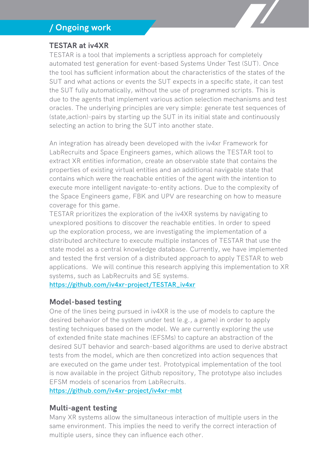# **/ Ongoing work**

#### **TESTAR at iv4XR**

TESTAR is a tool that implements a scriptless approach for completely automated test generation for event-based Systems Under Test (SUT). Once the tool has sufficient information about the characteristics of the states of the SUT and what actions or events the SUT expects in a specific state, it can test the SUT fully automatically, without the use of programmed scripts. This is due to the agents that implement various action selection mechanisms and test oracles. The underlying principles are very simple: generate test sequences of (state,action)-pairs by starting up the SUT in its initial state and continuously selecting an action to bring the SUT into another state.

An integration has already been developed with the iv4xr Framework for LabRecruits and Space Engineers games, which allows the TESTAR tool to extract XR entities information, create an observable state that contains the properties of existing virtual entities and an additional navigable state that contains which were the reachable entities of the agent with the intention to execute more intelligent navigate-to-entity actions. Due to the complexity of the Space Engineers game, FBK and UPV are researching on how to measure coverage for this game.

TESTAR prioritizes the exploration of the iv4XR systems by navigating to unexplored positions to discover the reachable entities. In order to speed up the exploration process, we are investigating the implementation of a distributed architecture to execute multiple instances of TESTAR that use the state model as a central knowledge database. Currently, we have implemented and tested the first version of a distributed approach to apply TESTAR to web applications. We will continue this research applying this implementation to XR systems, such as LabRecruits and SE systems.

**[https://github.com/iv4xr-project/TESTAR\\_iv4xr](https://github.com/iv4xr-project/TESTAR_iv4xr)**

#### **Model-based testing**

One of the lines being pursued in iv4XR is the use of models to capture the desired behavior of the system under test (e.g., a game) in order to apply testing techniques based on the model. We are currently exploring the use of extended finite state machines (EFSMs) to capture an abstraction of the desired SUT behavior and search-based algorithms are used to derive abstract tests from the model, which are then concretized into action sequences that are executed on the game under test. Prototypical implementation of the tool is now available in the project Github repository, The prototype also includes EFSM models of scenarios from LabRecruits.

**<https://github.com/iv4xr-project/iv4xr-mbt>**

#### **Multi-agent testing**

Many XR systems allow the simultaneous interaction of multiple users in the same environment. This implies the need to verify the correct interaction of multiple users, since they can influence each other.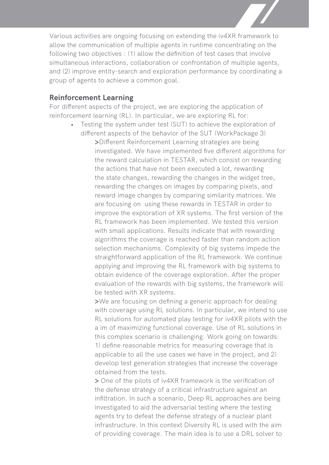Various activities are ongoing focusing on extending the iv4XR framework to allow the communication of multiple agents in runtime concentrating on the following two objectives : (1) allow the definition of test cases that involve simultaneous interactions, collaboration or confrontation of multiple agents, and (2) improve entity-search and exploration performance by coordinating a group of agents to achieve a common goal.

#### **Reinforcement Learning**

For different aspects of the project, we are exploring the application of reinforcement learning (RL). In particular, we are exploring RL for:

• Testing the system under test (SUT) to achieve the exploration of different aspects of the behavior of the SUT (WorkPackage 3) **>**Different Reinforcement Learning strategies are being investigated. We have implemented five different algorithms for the reward calculation in TESTAR, which consist on rewarding the actions that have not been executed a lot, rewarding the state changes, rewarding the changes in the widget tree, rewarding the changes on images by comparing pixels, and reward image changes by comparing similarity matrices. We are focusing on using these rewards in TESTAR in order to improve the exploration of XR systems. The first version of the RL framework has been implemented. We tested this version with small applications. Results indicate that with rewarding algorithms the coverage is reached faster than random action selection mechanisms. Complexity of big systems impede the straightforward application of the RL framework. We continue applying and improving the RL framework with big systems to obtain evidence of the coverage exploration. After the proper evaluation of the rewards with big systems, the framework will be tested with XR systems.

> **>**We are focusing on defining a generic approach for dealing with coverage using RL solutions. In particular, we intend to use RL solutions for automated play testing for iv4XR pilots with the a im of maximizing functional coverage. Use of RL solutions in this complex scenario is challenging. Work going on towards: 1) define reasonable metrics for measuring coverage that is applicable to all the use cases we have in the project, and 2) develop test generation strategies that increase the coverage obtained from the tests.

**>** One of the pilots of iv4XR framework is the verification of the defense strategy of a critical infrastructure against an infiltration. In such a scenario, Deep RL approaches are being investigated to aid the adversarial testing where the testing agents try to defeat the defense strategy of a nuclear plant infrastructure. In this context Diversity RL is used with the aim of providing coverage. The main idea is to use a DRL solver to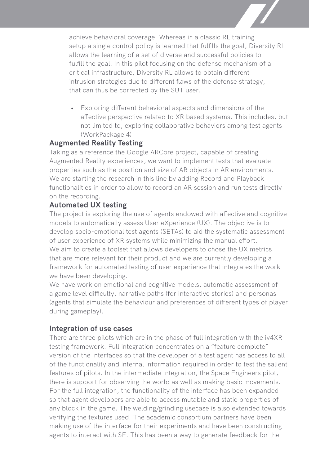achieve behavioral coverage. Whereas in a classic RL training setup a single control policy is learned that fulfills the goal, Diversity RL allows the learning of a set of diverse and successful policies to fulfill the goal. In this pilot focusing on the defense mechanism of a critical infrastructure, Diversity RL allows to obtain different intrusion strategies due to different flaws of the defense strategy, that can thus be corrected by the SUT user.

• Exploring different behavioral aspects and dimensions of the affective perspective related to XR based systems. This includes, but not limited to, exploring collaborative behaviors among test agents (WorkPackage 4)

#### **Augmented Reality Testing**

Taking as a reference the Google ARCore project, capable of creating Augmented Reality experiences, we want to implement tests that evaluate properties such as the position and size of AR objects in AR environments. We are starting the research in this line by adding Record and Playback functionalities in order to allow to record an AR session and run tests directly on the recording.

#### **Automated UX testing**

The project is exploring the use of agents endowed with affective and cognitive models to automatically assess User eXperience (UX). The objective is to develop socio-emotional test agents (SETAs) to aid the systematic assessment of user experience of XR systems while minimizing the manual effort. We aim to create a toolset that allows developers to chose the UX metrics that are more relevant for their product and we are currently developing a framework for automated testing of user experience that integrates the work we have been developing.

We have work on emotional and cognitive models, automatic assessment of a game level difficulty, narrative paths (for interactive stories) and personas (agents that simulate the behaviour and preferences of different types of player during gameplay).

#### **Integration of use cases**

There are three pilots which are in the phase of full integration with the iv4XR testing framework. Full integration concentrates on a "feature complete" version of the interfaces so that the developer of a test agent has access to all of the functionality and internal information required in order to test the salient features of pilots. In the intermediate integration, the Space Engineers pilot, there is support for observing the world as well as making basic movements. For the full integration, the functionality of the interface has been expanded so that agent developers are able to access mutable and static properties of any block in the game. The welding/grinding usecase is also extended towards verifying the textures used. The academic consortium partners have been making use of the interface for their experiments and have been constructing agents to interact with SE. This has been a way to generate feedback for the